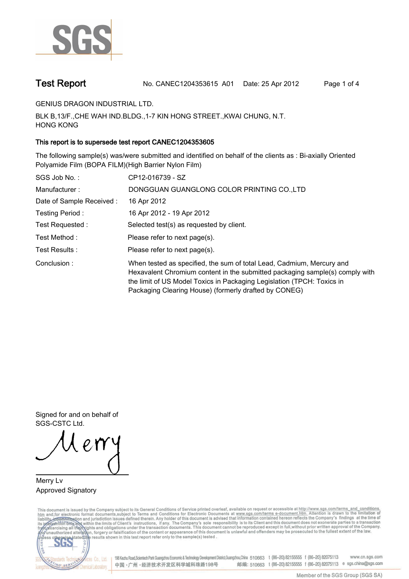

**Test Report. No. CANEC1204353615 A01 Date: 25 Apr 2012. Page 1 of 4.**

**GENIUS DRAGON INDUSTRIAL LTD..**

**BLK B,13/F.,CHE WAH IND.BLDG.,1-7 KIN HONG STREET.,KWAI CHUNG, N.T. HONG KONG.**

### **This report is to supersede test report CANEC1204353605.**

**The following sample(s) was/were submitted and identified on behalf of the clients as : Bi-axially Oriented Polyamide Film (BOPA FILM)(High Barrier Nylon Film).**

| SGS Job No.:             | CP12-016739 - SZ                                                                                                                                                                                                                                                                         |
|--------------------------|------------------------------------------------------------------------------------------------------------------------------------------------------------------------------------------------------------------------------------------------------------------------------------------|
| Manufacturer:            | DONGGUAN GUANGLONG COLOR PRINTING CO., LTD                                                                                                                                                                                                                                               |
| Date of Sample Received: | 16 Apr 2012                                                                                                                                                                                                                                                                              |
| Testing Period:          | 16 Apr 2012 - 19 Apr 2012                                                                                                                                                                                                                                                                |
| Test Requested :         | Selected test(s) as requested by client.                                                                                                                                                                                                                                                 |
| Test Method:             | Please refer to next page(s).                                                                                                                                                                                                                                                            |
| Test Results:            | Please refer to next page(s).                                                                                                                                                                                                                                                            |
| Conclusion:              | When tested as specified, the sum of total Lead, Cadmium, Mercury and<br>Hexavalent Chromium content in the submitted packaging sample(s) comply with<br>the limit of US Model Toxics in Packaging Legislation (TPCH: Toxics in<br>Packaging Clearing House) (formerly drafted by CONEG) |

**Signed for and on behalf of SGS-CSTC Ltd..**

**Merry Lv. Approved Signatory.**

This document is issued by the Company subject to its General Conditions of Service printed overleaf, available on request or accessible at http://www.sgs.com/terms\_and\_conditions.<br>htm\_and,for electronic format documents,s



198 Kezhu Road, Scientech Park Guangzhou Economic & Technology Development District, Guangzhou, China 510663 t (86-20) 82155555 f (86-20) 82075113 www.cn.sgs.com 邮编: 510663 t (86-20) 82155555 f (86-20) 82075113 e sgs.china@sgs.com 中国·广州·经济技术开发区科学城科珠路198号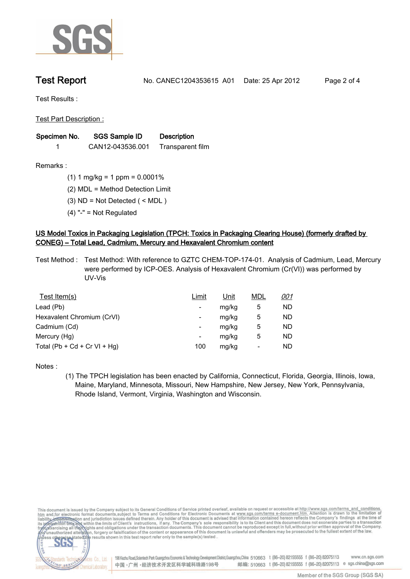

**Test Report. No. CANEC1204353615 A01 Date: 25 Apr 2012. Page 2 of 4.**

**Test Results :.**

**Test Part Description :.**

| Specimen No. | SGS Sample ID    | <b>Description</b> |  |
|--------------|------------------|--------------------|--|
|              | CAN12-043536.001 | Transparent film   |  |

**Remarks :.(1) 1 mg/kg = 1 ppm = 0.0001%.**

**(2) MDL = Method Detection Limit.**

**(3) ND = Not Detected ( < MDL ).**

**(4) "-" = Not Regulated.**

## **US Model Toxics in Packaging Legislation (TPCH: Toxics in Packaging Clearing House) (formerly drafted by CONEG) – Total Lead, Cadmium, Mercury and Hexavalent Chromium content.**

**Test Method :. Test Method: With reference to GZTC CHEM-TOP-174-01. Analysis of Cadmium, Lead, Mercury were performed by ICP-OES. Analysis of Hexavalent Chromium (Cr(VI)) was performed by UV-Vis.**

| Test Item(s)                 | <u>Limit</u> | <u>Unit</u> | <b>MDL</b> | <u>001</u> |
|------------------------------|--------------|-------------|------------|------------|
| Lead (Pb)                    |              | mg/kg       | 5          | ND         |
| Hexavalent Chromium (CrVI)   | -            | mg/kg       | 5          | ND         |
| Cadmium (Cd)                 | -            | mg/kg       | 5          | ND         |
| Mercury (Hg)                 | -            | mg/kg       | 5          | ND         |
| Total (Pb + Cd + Cr VI + Hg) | 100          | mg/kg       |            | ND         |

**Notes :.**

**(1) The TPCH legislation has been enacted by California, Connecticut, Florida, Georgia, Illinois, Iowa, Maine, Maryland, Minnesota, Missouri, New Hampshire, New Jersey, New York, Pennsylvania, Rhode Island, Vermont, Virginia, Washington and Wisconsin..**

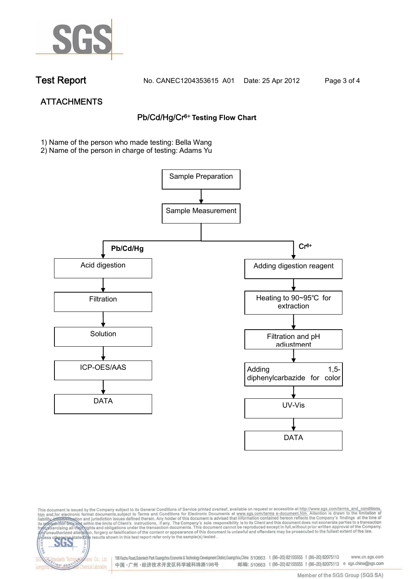

NG SER

**Chemical Laboratory** 

**Test Report. No. CANEC1204353615 A01 Date: 25 Apr 2012. Page 3 of 4.**

# **ATTACHMENTS Pb/Cd/Hg/Cr6+ Testing Flow Chart**

**1)** Name of the person who made testing: Bella Wang

2) Name of the person in charge of testing: Adams Yu